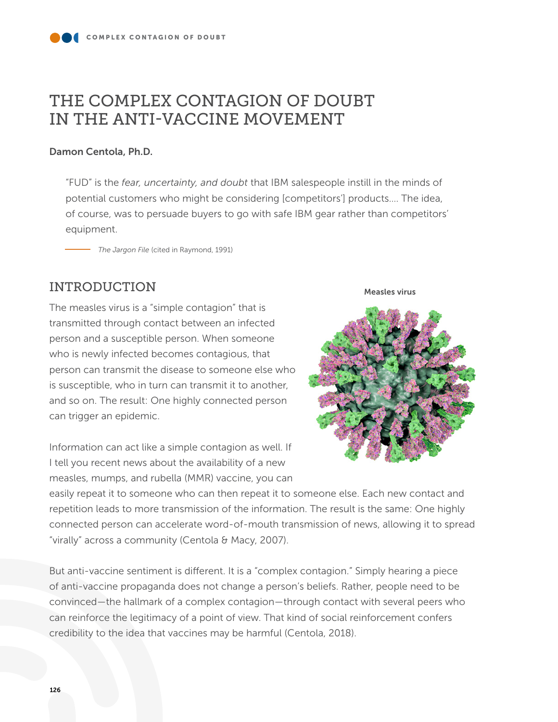# THE COMPLEX CONTAGION OF DOUBT IN THE ANTI-VACCINE MOVEMENT

### Damon Centola, Ph.D.

"FUD" is the *fear, uncertainty, and doubt* that IBM salespeople instill in the minds of potential customers who might be considering [competitors'] products…. The idea, of course, was to persuade buyers to go with safe IBM gear rather than competitors' equipment.

*The Jargon File* (cited in Raymond, 1991)

# INTRODUCTION

The measles virus is a "simple contagion" that is transmitted through contact between an infected person and a susceptible person. When someone who is newly infected becomes contagious, that person can transmit the disease to someone else who is susceptible, who in turn can transmit it to another, and so on. The result: One highly connected person can trigger an epidemic.

Information can act like a simple contagion as well. If I tell you recent news about the availability of a new measles, mumps, and rubella (MMR) vaccine, you can

#### Measles virus



easily repeat it to someone who can then repeat it to someone else. Each new contact and repetition leads to more transmission of the information. The result is the same: One highly connected person can accelerate word-of-mouth transmission of news, allowing it to spread "virally" across a community (Centola & Macy, 2007).

But anti-vaccine sentiment is different. It is a "complex contagion." Simply hearing a piece of anti-vaccine propaganda does not change a person's beliefs. Rather, people need to be convinced—the hallmark of a complex contagion—through contact with several peers who can reinforce the legitimacy of a point of view. That kind of social reinforcement confers credibility to the idea that vaccines may be harmful (Centola, 2018).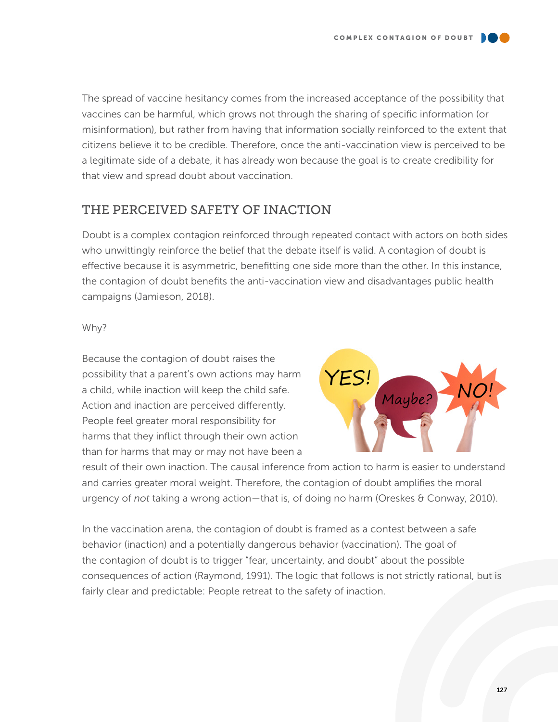The spread of vaccine hesitancy comes from the increased acceptance of the possibility that vaccines can be harmful, which grows not through the sharing of specific information (or misinformation), but rather from having that information socially reinforced to the extent that citizens believe it to be credible. Therefore, once the anti-vaccination view is perceived to be a legitimate side of a debate, it has already won because the goal is to create credibility for that view and spread doubt about vaccination.

### THE PERCEIVED SAFETY OF INACTION

Doubt is a complex contagion reinforced through repeated contact with actors on both sides who unwittingly reinforce the belief that the debate itself is valid. A contagion of doubt is effective because it is asymmetric, benefitting one side more than the other. In this instance, the contagion of doubt benefits the anti-vaccination view and disadvantages public health campaigns (Jamieson, 2018).

#### Why?

Because the contagion of doubt raises the possibility that a parent's own actions may harm a child, while inaction will keep the child safe. Action and inaction are perceived differently. People feel greater moral responsibility for harms that they inflict through their own action than for harms that may or may not have been a



result of their own inaction. The causal inference from action to harm is easier to understand and carries greater moral weight. Therefore, the contagion of doubt amplifies the moral urgency of *not* taking a wrong action—that is, of doing no harm (Oreskes & Conway, 2010).

In the vaccination arena, the contagion of doubt is framed as a contest between a safe behavior (inaction) and a potentially dangerous behavior (vaccination). The goal of the contagion of doubt is to trigger "fear, uncertainty, and doubt" about the possible consequences of action (Raymond, 1991). The logic that follows is not strictly rational, but is fairly clear and predictable: People retreat to the safety of inaction.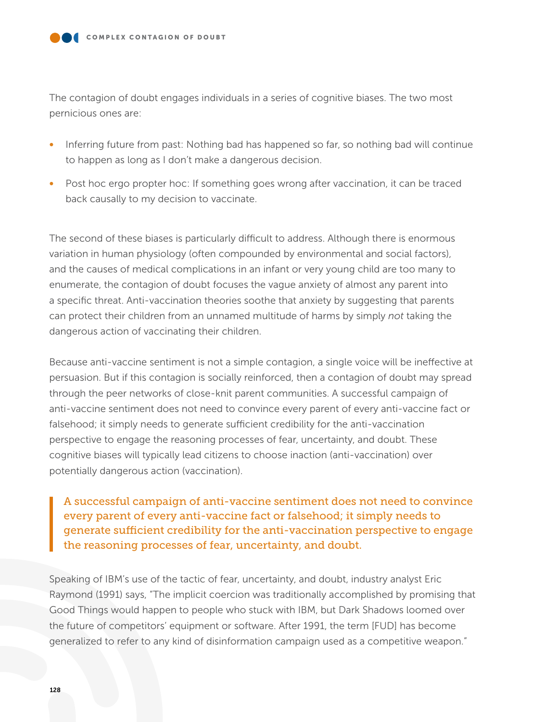The contagion of doubt engages individuals in a series of cognitive biases. The two most pernicious ones are:

- Inferring future from past: Nothing bad has happened so far, so nothing bad will continue to happen as long as I don't make a dangerous decision.
- Post hoc ergo propter hoc: If something goes wrong after vaccination, it can be traced back causally to my decision to vaccinate.

The second of these biases is particularly difficult to address. Although there is enormous variation in human physiology (often compounded by environmental and social factors), and the causes of medical complications in an infant or very young child are too many to enumerate, the contagion of doubt focuses the vague anxiety of almost any parent into a specific threat. Anti-vaccination theories soothe that anxiety by suggesting that parents can protect their children from an unnamed multitude of harms by simply *not* taking the dangerous action of vaccinating their children.

Because anti-vaccine sentiment is not a simple contagion, a single voice will be ineffective at persuasion. But if this contagion is socially reinforced, then a contagion of doubt may spread through the peer networks of close-knit parent communities. A successful campaign of anti-vaccine sentiment does not need to convince every parent of every anti-vaccine fact or falsehood; it simply needs to generate sufficient credibility for the anti-vaccination perspective to engage the reasoning processes of fear, uncertainty, and doubt. These cognitive biases will typically lead citizens to choose inaction (anti-vaccination) over potentially dangerous action (vaccination).

A successful campaign of anti-vaccine sentiment does not need to convince every parent of every anti-vaccine fact or falsehood; it simply needs to generate sufficient credibility for the anti-vaccination perspective to engage the reasoning processes of fear, uncertainty, and doubt.

Speaking of IBM's use of the tactic of fear, uncertainty, and doubt, industry analyst Eric Raymond (1991) says, "The implicit coercion was traditionally accomplished by promising that Good Things would happen to people who stuck with IBM, but Dark Shadows loomed over the future of competitors' equipment or software. After 1991, the term [FUD] has become generalized to refer to any kind of disinformation campaign used as a competitive weapon."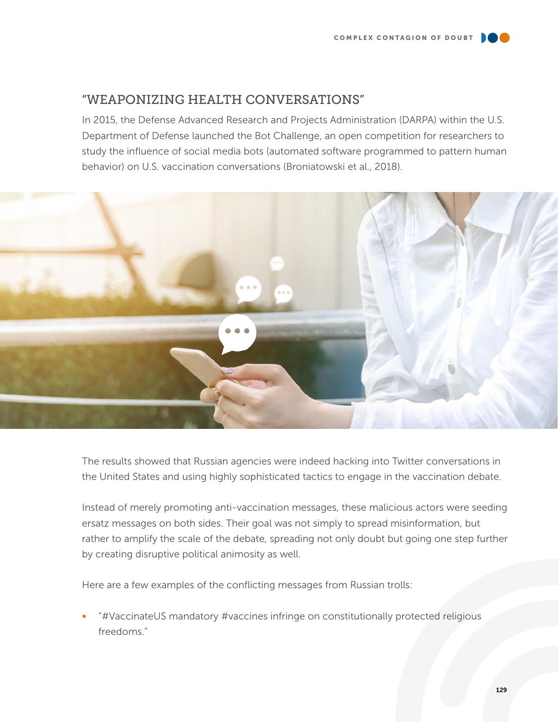# "WEAPONIZING HEALTH CONVERSATIONS"

In 2015, the Defense Advanced Research and Projects Administration (DARPA) within the U.S. Department of Defense launched the Bot Challenge, an open competition for researchers to study the influence of social media bots (automated software programmed to pattern human behavior) on U.S. vaccination conversations (Broniatowski et al., 2018).



The results showed that Russian agencies were indeed hacking into Twitter conversations in the United States and using highly sophisticated tactics to engage in the vaccination debate.

Instead of merely promoting anti-vaccination messages, these malicious actors were seeding ersatz messages on both sides. Their goal was not simply to spread misinformation, but rather to amplify the scale of the debate, spreading not only doubt but going one step further by creating disruptive political animosity as well.

Here are a few examples of the conflicting messages from Russian trolls:

• "#VaccinateUS mandatory #vaccines infringe on constitutionally protected religious freedoms."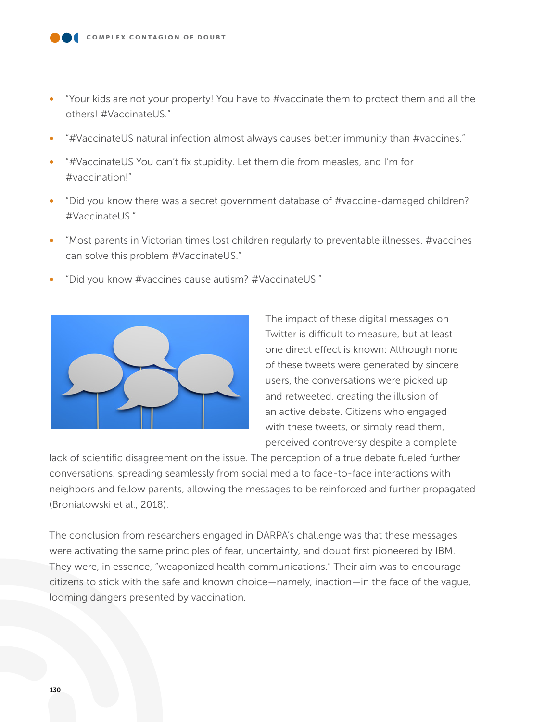- "Your kids are not your property! You have to #vaccinate them to protect them and all the others! #VaccinateUS."
- "#VaccinateUS natural infection almost always causes better immunity than #vaccines."
- "#VaccinateUS You can't fix stupidity. Let them die from measles, and I'm for #vaccination!"
- "Did you know there was a secret government database of #vaccine-damaged children? #VaccinateUS."
- "Most parents in Victorian times lost children regularly to preventable illnesses. #vaccines can solve this problem #VaccinateUS."
- "Did you know #vaccines cause autism? #VaccinateUS."



The impact of these digital messages on Twitter is difficult to measure, but at least one direct effect is known: Although none of these tweets were generated by sincere users, the conversations were picked up and retweeted, creating the illusion of an active debate. Citizens who engaged with these tweets, or simply read them, perceived controversy despite a complete

lack of scientific disagreement on the issue. The perception of a true debate fueled further conversations, spreading seamlessly from social media to face-to-face interactions with neighbors and fellow parents, allowing the messages to be reinforced and further propagated (Broniatowski et al., 2018).

The conclusion from researchers engaged in DARPA's challenge was that these messages were activating the same principles of fear, uncertainty, and doubt first pioneered by IBM. They were, in essence, "weaponized health communications." Their aim was to encourage citizens to stick with the safe and known choice—namely, inaction—in the face of the vague, looming dangers presented by vaccination.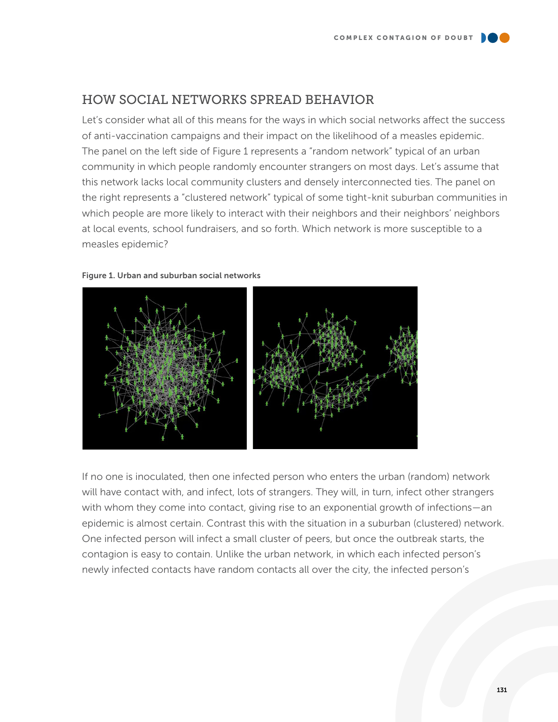## HOW SOCIAL NETWORKS SPREAD BEHAVIOR

Let's consider what all of this means for the ways in which social networks affect the success of anti-vaccination campaigns and their impact on the likelihood of a measles epidemic. The panel on the left side of Figure 1 represents a "random network" typical of an urban community in which people randomly encounter strangers on most days. Let's assume that this network lacks local community clusters and densely interconnected ties. The panel on the right represents a "clustered network" typical of some tight-knit suburban communities in which people are more likely to interact with their neighbors and their neighbors' neighbors at local events, school fundraisers, and so forth. Which network is more susceptible to a measles epidemic?





If no one is inoculated, then one infected person who enters the urban (random) network will have contact with, and infect, lots of strangers. They will, in turn, infect other strangers with whom they come into contact, giving rise to an exponential growth of infections—an epidemic is almost certain. Contrast this with the situation in a suburban (clustered) network. One infected person will infect a small cluster of peers, but once the outbreak starts, the contagion is easy to contain. Unlike the urban network, in which each infected person's newly infected contacts have random contacts all over the city, the infected person's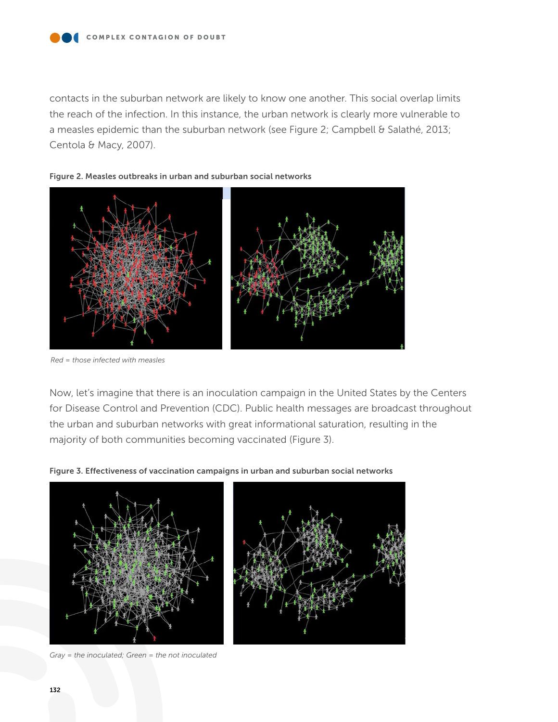contacts in the suburban network are likely to know one another. This social overlap limits the reach of the infection. In this instance, the urban network is clearly more vulnerable to a measles epidemic than the suburban network (see Figure 2; Campbell & Salathé, 2013; Centola & Macy, 2007).





*Red = those infected with measles*

Now, let's imagine that there is an inoculation campaign in the United States by the Centers for Disease Control and Prevention (CDC). Public health messages are broadcast throughout the urban and suburban networks with great informational saturation, resulting in the majority of both communities becoming vaccinated (Figure 3).







*Gray = the inoculated; Green = the not inoculated*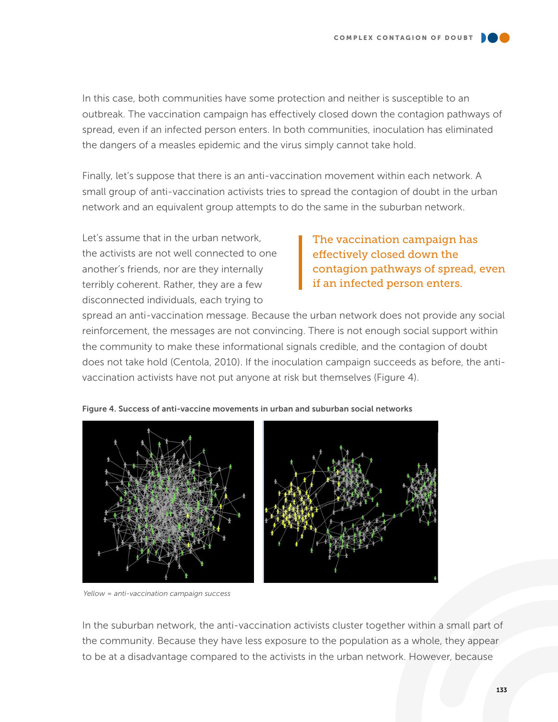In this case, both communities have some protection and neither is susceptible to an outbreak. The vaccination campaign has effectively closed down the contagion pathways of spread, even if an infected person enters. In both communities, inoculation has eliminated the dangers of a measles epidemic and the virus simply cannot take hold.

Finally, let's suppose that there is an anti-vaccination movement within each network. A small group of anti-vaccination activists tries to spread the contagion of doubt in the urban network and an equivalent group attempts to do the same in the suburban network.

Let's assume that in the urban network, the activists are not well connected to one another's friends, nor are they internally terribly coherent. Rather, they are a few disconnected individuals, each trying to

### The vaccination campaign has effectively closed down the contagion pathways of spread, even if an infected person enters.

spread an anti-vaccination message. Because the urban network does not provide any social reinforcement, the messages are not convincing. There is not enough social support within the community to make these informational signals credible, and the contagion of doubt does not take hold (Centola, 2010). If the inoculation campaign succeeds as before, the antivaccination activists have not put anyone at risk but themselves (Figure 4).



#### Figure 4. Success of anti-vaccine movements in urban and suburban social networks

*Yellow = anti-vaccination campaign success*

In the suburban network, the anti-vaccination activists cluster together within a small part of the community. Because they have less exposure to the population as a whole, they appear to be at a disadvantage compared to the activists in the urban network. However, because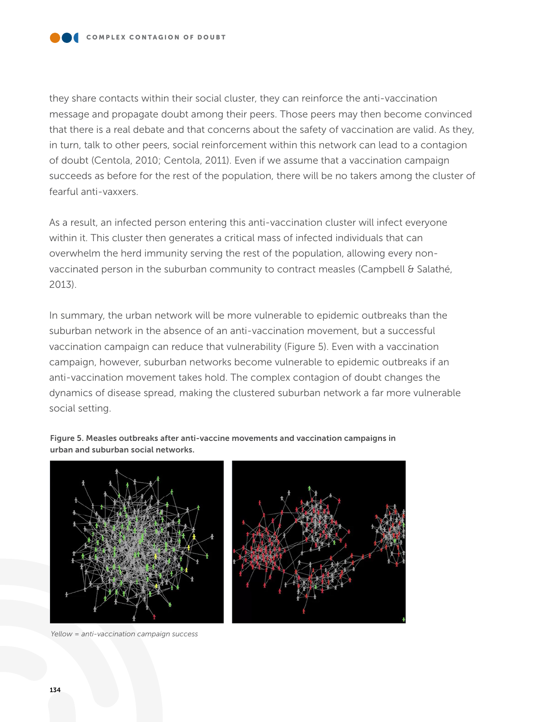they share contacts within their social cluster, they can reinforce the anti-vaccination message and propagate doubt among their peers. Those peers may then become convinced that there is a real debate and that concerns about the safety of vaccination are valid. As they, in turn, talk to other peers, social reinforcement within this network can lead to a contagion of doubt (Centola, 2010; Centola, 2011). Even if we assume that a vaccination campaign succeeds as before for the rest of the population, there will be no takers among the cluster of fearful anti-vaxxers.

As a result, an infected person entering this anti-vaccination cluster will infect everyone within it. This cluster then generates a critical mass of infected individuals that can overwhelm the herd immunity serving the rest of the population, allowing every nonvaccinated person in the suburban community to contract measles (Campbell & Salathé, 2013).

In summary, the urban network will be more vulnerable to epidemic outbreaks than the suburban network in the absence of an anti-vaccination movement, but a successful vaccination campaign can reduce that vulnerability (Figure 5). Even with a vaccination campaign, however, suburban networks become vulnerable to epidemic outbreaks if an anti-vaccination movement takes hold. The complex contagion of doubt changes the dynamics of disease spread, making the clustered suburban network a far more vulnerable social setting.

Figure 5. Measles outbreaks after anti-vaccine movements and vaccination campaigns in urban and suburban social networks.



*Yellow = anti-vaccination campaign success*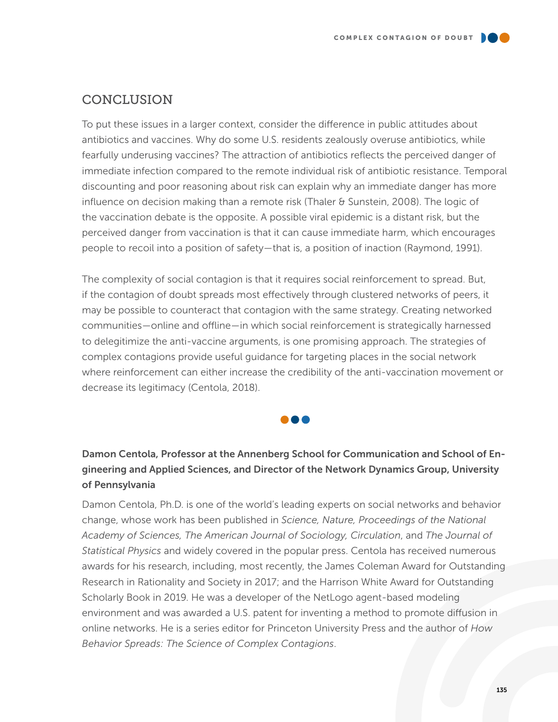

To put these issues in a larger context, consider the difference in public attitudes about antibiotics and vaccines. Why do some U.S. residents zealously overuse antibiotics, while fearfully underusing vaccines? The attraction of antibiotics reflects the perceived danger of immediate infection compared to the remote individual risk of antibiotic resistance. Temporal discounting and poor reasoning about risk can explain why an immediate danger has more influence on decision making than a remote risk (Thaler & Sunstein, 2008). The logic of the vaccination debate is the opposite. A possible viral epidemic is a distant risk, but the perceived danger from vaccination is that it can cause immediate harm, which encourages people to recoil into a position of safety—that is, a position of inaction (Raymond, 1991).

The complexity of social contagion is that it requires social reinforcement to spread. But, if the contagion of doubt spreads most effectively through clustered networks of peers, it may be possible to counteract that contagion with the same strategy. Creating networked communities—online and offline—in which social reinforcement is strategically harnessed to delegitimize the anti-vaccine arguments, is one promising approach. The strategies of complex contagions provide useful guidance for targeting places in the social network where reinforcement can either increase the credibility of the anti-vaccination movement or decrease its legitimacy (Centola, 2018).



### Damon Centola, Professor at the Annenberg School for Communication and School of Engineering and Applied Sciences, and Director of the Network Dynamics Group, University of Pennsylvania

Damon Centola, Ph.D. is one of the world's leading experts on social networks and behavior change, whose work has been published in *Science, Nature, Proceedings of the National Academy of Sciences, The American Journal of Sociology, Circulation*, and *The Journal of Statistical Physics* and widely covered in the popular press. Centola has received numerous awards for his research, including, most recently, the James Coleman Award for Outstanding Research in Rationality and Society in 2017; and the Harrison White Award for Outstanding Scholarly Book in 2019. He was a developer of the NetLogo agent-based modeling environment and was awarded a U.S. patent for inventing a method to promote diffusion in online networks. He is a series editor for Princeton University Press and the author of *How Behavior Spreads: The Science of Complex Contagions*.